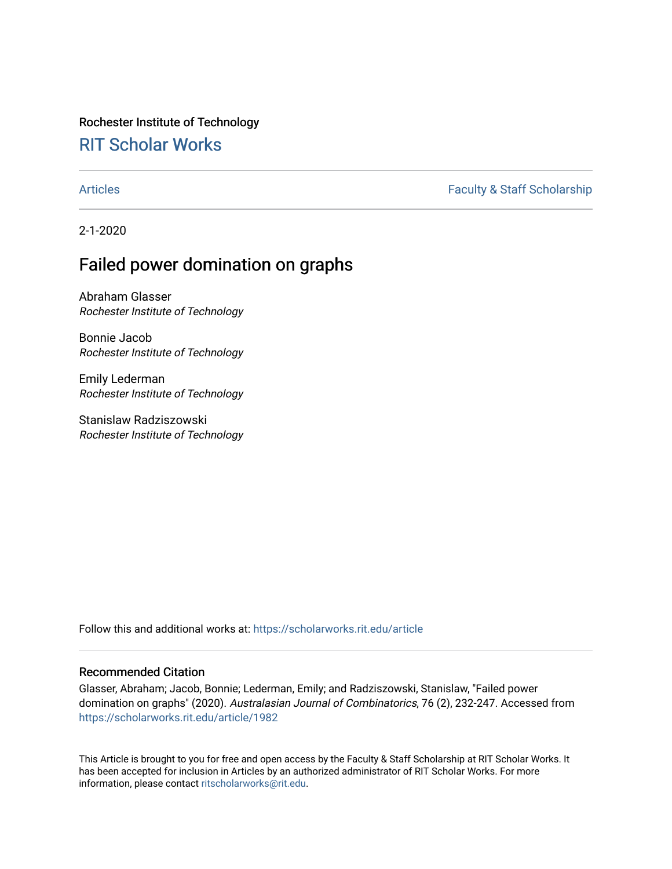# Rochester Institute of Technology

# [RIT Scholar Works](https://scholarworks.rit.edu/)

## [Articles](https://scholarworks.rit.edu/article) **Faculty & Staff Scholarship**

2-1-2020

# Failed power domination on graphs

Abraham Glasser Rochester Institute of Technology

Bonnie Jacob Rochester Institute of Technology

Emily Lederman Rochester Institute of Technology

Stanislaw Radziszowski Rochester Institute of Technology

Follow this and additional works at: [https://scholarworks.rit.edu/article](https://scholarworks.rit.edu/article?utm_source=scholarworks.rit.edu%2Farticle%2F1982&utm_medium=PDF&utm_campaign=PDFCoverPages) 

### Recommended Citation

Glasser, Abraham; Jacob, Bonnie; Lederman, Emily; and Radziszowski, Stanislaw, "Failed power domination on graphs" (2020). Australasian Journal of Combinatorics, 76 (2), 232-247. Accessed from [https://scholarworks.rit.edu/article/1982](https://scholarworks.rit.edu/article/1982?utm_source=scholarworks.rit.edu%2Farticle%2F1982&utm_medium=PDF&utm_campaign=PDFCoverPages)

This Article is brought to you for free and open access by the Faculty & Staff Scholarship at RIT Scholar Works. It has been accepted for inclusion in Articles by an authorized administrator of RIT Scholar Works. For more information, please contact [ritscholarworks@rit.edu.](mailto:ritscholarworks@rit.edu)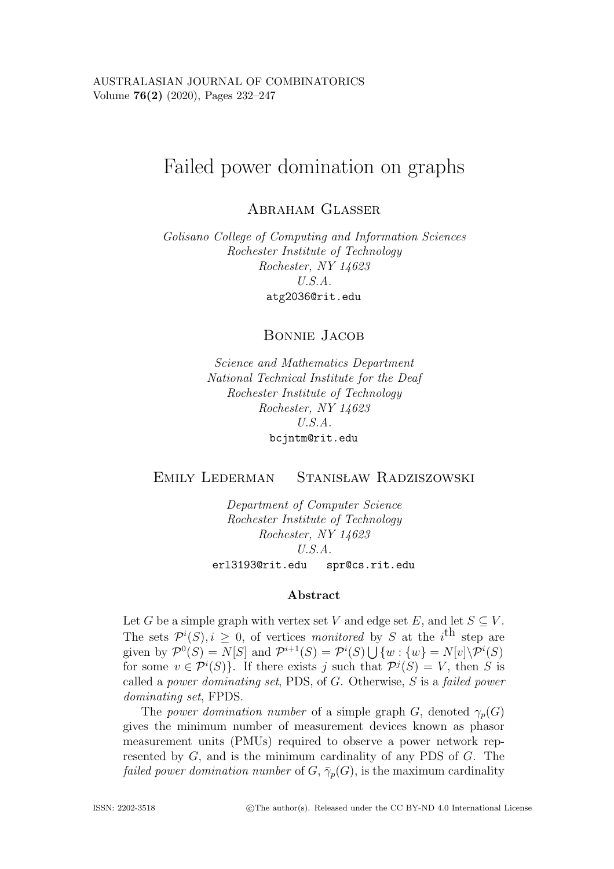# Failed power domination on graphs

ABRAHAM GLASSER

*Golisano College of Computing and Information Sciences Rochester Institute of Technology Rochester, NY 14623 U.S.A.* atg2036@rit.edu

Bonnie Jacob

*Science and Mathematics Department National Technical Institute for the Deaf Rochester Institute of Technology Rochester, NY 14623 U.S.A.* bcjntm@rit.edu

EMILY LEDERMAN STANISŁAW RADZISZOWSKI

> *Department of Computer Science Rochester Institute of Technology Rochester, NY 14623 U.S.A.* erl3193@rit.edu spr@cs.rit.edu

#### **Abstract**

Let G be a simple graph with vertex set V and edge set E, and let  $S \subseteq V$ . The sets  $\mathcal{P}^i(S)$ ,  $i \geq 0$ , of vertices *monitored* by S at the *i*<sup>th</sup> step are<br>given by  $\mathcal{P}^0(S) = N[S]$  and  $\mathcal{P}^{i+1}(S) = \mathcal{P}^i(S) \cup \{y_i\} = N[y] \setminus \mathcal{P}^i(S)$ given by  $\mathcal{P}^0(S) = N[S]$  and  $\mathcal{P}^{i+1}(S) = \mathcal{P}^i(S) \bigcup \{w : \{w\} = N[v] \setminus \mathcal{P}^i(S)$ <br>for some  $v \in \mathcal{P}^i(S)$ . If there exists a such that  $\mathcal{D}^j(S) = V$  then S is for some  $v \in \mathcal{P}^i(S)$ . If there exists j such that  $\mathcal{P}^j(S) = V$ , then S is called a nover dominating set PDS of G. Otherwise, S is a failed nover called a *power dominating set*, PDS, of G. Otherwise, S is a *failed power dominating set*, FPDS.

The *power domination number* of a simple graph G, denoted  $\gamma_p(G)$ gives the minimum number of measurement devices known as phasor measurement units (PMUs) required to observe a power network represented by G, and is the minimum cardinality of any PDS of G. The *failed power domination number* of  $G, \bar{\gamma}_p(G)$ , is the maximum cardinality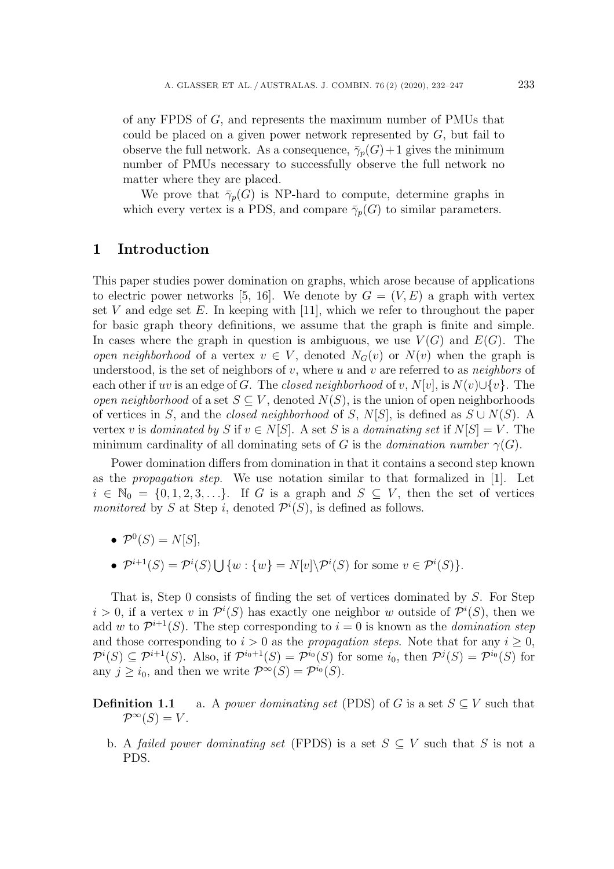of any FPDS of G, and represents the maximum number of PMUs that could be placed on a given power network represented by  $G$ , but fail to observe the full network. As a consequence,  $\bar{\gamma}_p(G)+1$  gives the minimum number of PMUs necessary to successfully observe the full network no matter where they are placed.

We prove that  $\bar{\gamma}_p(G)$  is NP-hard to compute, determine graphs in which every vertex is a PDS, and compare  $\bar{\gamma}_p(G)$  to similar parameters.

## **1 Introduction**

This paper studies power domination on graphs, which arose because of applications to electric power networks [5, 16]. We denote by  $G = (V, E)$  a graph with vertex set V and edge set E. In keeping with [11], which we refer to throughout the paper for basic graph theory definitions, we assume that the graph is finite and simple. In cases where the graph in question is ambiguous, we use  $V(G)$  and  $E(G)$ . The *open neighborhood* of a vertex  $v \in V$ , denoted  $N_G(v)$  or  $N(v)$  when the graph is understood, is the set of neighbors of v, where u and v are referred to as *neighbors* of each other if uv is an edge of G. The *closed neighborhood* of v,  $N[v]$ , is  $N(v) \cup \{v\}$ . The *open neighborhood* of a set  $S \subseteq V$ , denoted  $N(S)$ , is the union of open neighborhoods of vertices in S, and the *closed neighborhood* of S, N[S], is defined as  $S \cup N(S)$ . A vertex v is *dominated by* S if  $v \in N[S]$ . A set S is a *dominating set* if  $N[S] = V$ . The minimum cardinality of all dominating sets of G is the *domination number*  $\gamma(G)$ .

Power domination differs from domination in that it contains a second step known as the *propagation step*. We use notation similar to that formalized in [1]. Let  $i \in \mathbb{N}_0 = \{0, 1, 2, 3, \ldots\}$ . If G is a graph and  $S \subseteq V$ , then the set of vertices *monitored* by S at Step *i*, denoted  $\mathcal{P}^i(S)$ , is defined as follows.

- $\mathcal{P}^0(S) = N[S],$
- $\mathcal{P}^{i+1}(S) = \mathcal{P}^{i}(S) \bigcup \{w : \{w\} = N[v] \backslash \mathcal{P}^{i}(S) \text{ for some } v \in \mathcal{P}^{i}(S) \}.$

That is, Step 0 consists of finding the set of vertices dominated by S. For Step  $i > 0$ , if a vertex v in  $\mathcal{P}^{i}(S)$  has exactly one neighbor w outside of  $\mathcal{P}^{i}(S)$ , then we add w to  $\mathcal{P}^{i+1}(S)$ . The step corresponding to  $i = 0$  is known as the *domination step* add w to  $\mathcal{P}^{i+1}(S)$ . The step corresponding to  $i = 0$  is known as the *domination step* and those corresponding to  $i > 0$  as the *propagation steps*. Note that for any  $i \geq 0$ ,  $\mathcal{P}^i(S) \subseteq \mathcal{P}^{i+1}(S)$ . Also, if  $\mathcal{P}^{i_0+1}(S) = \mathcal{P}^{i_0}(S)$  for some  $i_0$ , then  $\mathcal{P}^{j}(S) = \mathcal{P}^{i_0}(S)$  for any  $j \geq i_0$ , and then we write  $\mathcal{P}^{\infty}(S) = \mathcal{P}^{i_0}(S)$ .

**Definition 1.1** a. A *power dominating set* (PDS) of G is a set  $S \subseteq V$  such that  $\mathcal{P}^{\infty}(S) = V.$ 

b. A *failed power dominating set* (FPDS) is a set  $S \subseteq V$  such that S is not a PDS.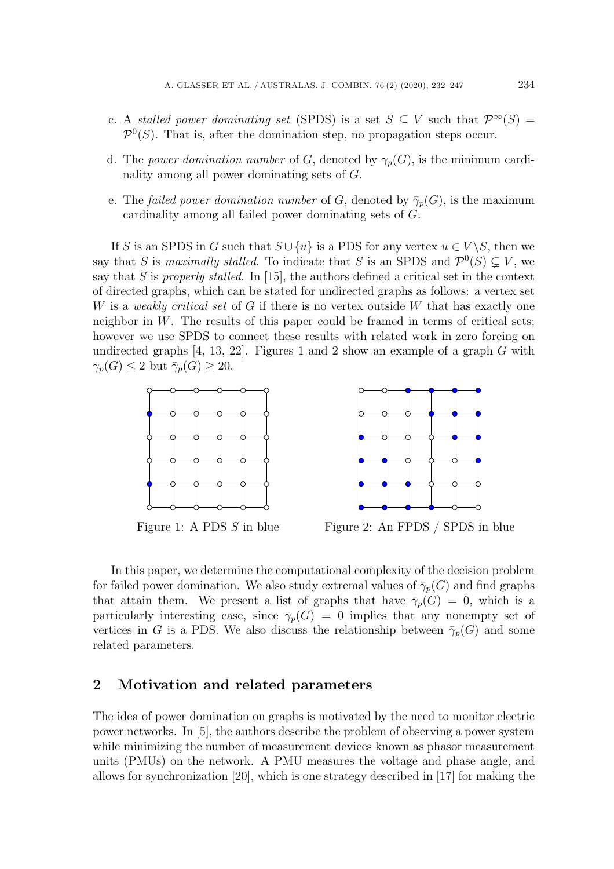- c. A *stalled power dominating set* (SPDS) is a set  $S \subseteq V$  such that  $\mathcal{P}^{\infty}(S) =$  $\mathcal{P}^0(S)$ . That is, after the domination step, no propagation steps occur.
- d. The *power domination number* of G, denoted by  $\gamma_p(G)$ , is the minimum cardinality among all power dominating sets of G.
- e. The *failed power domination number* of G, denoted by  $\bar{\gamma}_p(G)$ , is the maximum cardinality among all failed power dominating sets of G.

If S is an SPDS in G such that  $S \cup \{u\}$  is a PDS for any vertex  $u \in V \backslash S$ , then we say that S is *maximally stalled*. To indicate that S is an SPDS and  $\mathcal{P}^0(S) \subsetneq V$ , we<br>say that S is *properly stalled*. In [15], the authors defined a critical set in the context say that S is *properly stalled*. In [15], the authors defined a critical set in the context of directed graphs, which can be stated for undirected graphs as follows: a vertex set W is a *weakly critical set* of G if there is no vertex outside W that has exactly one neighbor in  $W$ . The results of this paper could be framed in terms of critical sets; however we use SPDS to connect these results with related work in zero forcing on undirected graphs [4, 13, 22]. Figures 1 and 2 show an example of a graph  $G$  with  $\gamma_p(G) \leq 2$  but  $\bar{\gamma}_p(G) \geq 20$ .





Figure 1: A PDS S in blue Figure 2: An FPDS / SPDS in blue

In this paper, we determine the computational complexity of the decision problem for failed power domination. We also study extremal values of  $\bar{\gamma}_p(G)$  and find graphs that attain them. We present a list of graphs that have  $\bar{\gamma}_p(G) = 0$ , which is a particularly interesting case, since  $\bar{\gamma}_p(G) = 0$  implies that any nonempty set of vertices in G is a PDS. We also discuss the relationship between  $\bar{\gamma}_p(G)$  and some related parameters.

## **2 Motivation and related parameters**

The idea of power domination on graphs is motivated by the need to monitor electric power networks. In [5], the authors describe the problem of observing a power system while minimizing the number of measurement devices known as phasor measurement units (PMUs) on the network. A PMU measures the voltage and phase angle, and allows for synchronization [20], which is one strategy described in [17] for making the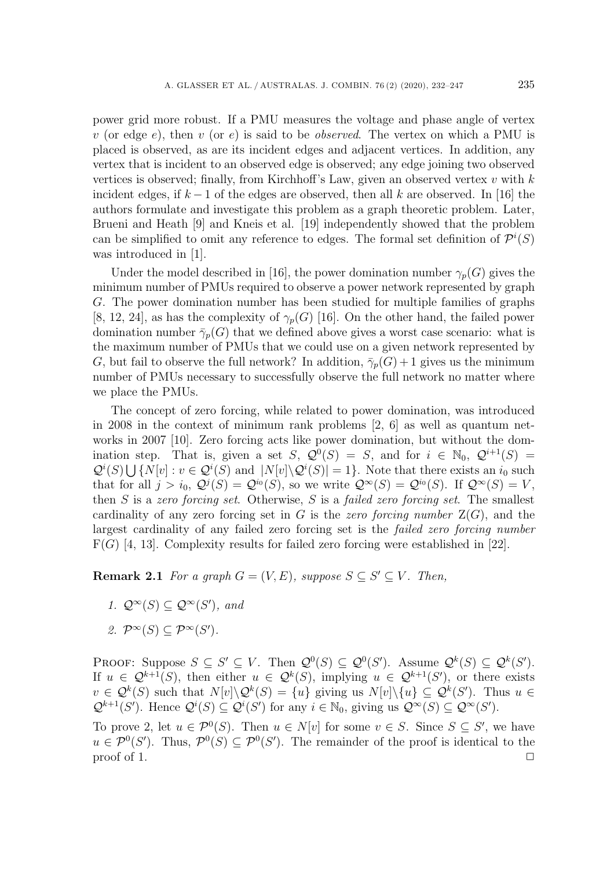power grid more robust. If a PMU measures the voltage and phase angle of vertex v (or edge e), then v (or e) is said to be *observed*. The vertex on which a PMU is placed is observed, as are its incident edges and adjacent vertices. In addition, any vertex that is incident to an observed edge is observed; any edge joining two observed vertices is observed; finally, from Kirchhoff's Law, given an observed vertex  $v$  with  $k$ incident edges, if  $k-1$  of the edges are observed, then all k are observed. In [16] the authors formulate and investigate this problem as a graph theoretic problem. Later, Brueni and Heath [9] and Kneis et al. [19] independently showed that the problem can be simplified to omit any reference to edges. The formal set definition of  $\mathcal{P}^i(S)$ <br>was introduced in [1] was introduced in [1].

Under the model described in [16], the power domination number  $\gamma_p(G)$  gives the minimum number of PMUs required to observe a power network represented by graph G. The power domination number has been studied for multiple families of graphs [8, 12, 24], as has the complexity of  $\gamma_p(G)$  [16]. On the other hand, the failed power domination number  $\bar{\gamma}_p(G)$  that we defined above gives a worst case scenario: what is the maximum number of PMUs that we could use on a given network represented by G, but fail to observe the full network? In addition,  $\bar{\gamma}_p(G) + 1$  gives us the minimum number of PMUs necessary to successfully observe the full network no matter where we place the PMUs.

The concept of zero forcing, while related to power domination, was introduced in 2008 in the context of minimum rank problems [2, 6] as well as quantum networks in 2007 [10]. Zero forcing acts like power domination, but without the domination step. That is, given a set S,  $\mathcal{Q}^0(S) = S$ , and for  $i \in \mathbb{N}_0$ ,  $\mathcal{Q}^{i+1}(S) =$  $\mathcal{Q}^i(S) \bigcup \{ N[v] : v \in \mathcal{Q}^i(S) \text{ and } |N[v] \setminus \mathcal{Q}^i(S)| = 1 \}.$  Note that there exists an  $i_0$  such that for all  $i > i_0$ ,  $\mathcal{Q}^i(S) = \mathcal{Q}^{i_0}(S)$ , so we write  $\mathcal{Q}^{\infty}(S) = \mathcal{Q}^{i_0}(S)$ . If  $\mathcal{Q}^{\infty}(S) = V$ that for all  $j>i_0$ ,  $\mathcal{Q}^j(S) = \mathcal{Q}^{i_0}(S)$ , so we write  $\mathcal{Q}^{\infty}(S) = \mathcal{Q}^{i_0}(S)$ . If  $\mathcal{Q}^{\infty}(S) = V$ , then S is a *zero forcing set*. Otherwise, S is a *failed zero forcing set*. The smallest cardinality of any zero forcing set in  $G$  is the *zero forcing number*  $Z(G)$ , and the largest cardinality of any failed zero forcing set is the *failed zero forcing number*  $F(G)$  [4, 13]. Complexity results for failed zero forcing were established in [22].

**Remark 2.1** *For a graph*  $G = (V, E)$ *, suppose*  $S \subseteq S' \subseteq V$ *. Then,* 

- 1.  $\mathcal{Q}^{\infty}(S) \subseteq \mathcal{Q}^{\infty}(S')$ , and
- 2.  $\mathcal{P}^{\infty}(S) \subseteq \mathcal{P}^{\infty}(S')$ .

PROOF: Suppose  $S \subseteq S' \subseteq V$ . Then  $\mathcal{Q}^0(S) \subseteq \mathcal{Q}^0(S')$ . Assume  $\mathcal{Q}^k(S) \subseteq \mathcal{Q}^k(S')$ .<br>If  $u \in \mathcal{Q}^{k+1}(S)$  then either  $u \in \mathcal{Q}^k(S)$  implying  $u \in \mathcal{Q}^{k+1}(S')$  or there exists If  $u \in \mathcal{Q}^{k+1}(S)$ , then either  $u \in \mathcal{Q}^{k}(S)$ , implying  $u \in \mathcal{Q}^{k+1}(S')$ , or there exists  $v \in O^{k}(S)$  such that  $N[v] \setminus O^{k}(S) = \{u\}$  giving us  $N[v] \setminus \{u\} \subset O^{k}(S')$ . Thus  $u \in$  $v \in \mathcal{Q}^k(S)$  such that  $N[v] \backslash \mathcal{Q}^k(S) = \{u\}$  giving us  $N[v] \backslash \{u\} \subseteq \mathcal{Q}^k(S')$ . Thus  $u \in \mathcal{Q}^{k+1}(S')$ . Hence  $\mathcal{Q}^i(S) \subset \mathcal{Q}^i(S')$  for any  $i \in \mathbb{N}_0$ , giving us  $\mathcal{Q}^{\infty}(S) \subset \mathcal{Q}^{\infty}(S')$ .  $\mathcal{Q}^{k+1}(S')$ . Hence  $\mathcal{Q}^i(S) \subseteq \mathcal{Q}^i(S')$  for any  $i \in \mathbb{N}_0$ , giving us  $\mathcal{Q}^{\infty}(S) \subseteq \mathcal{Q}^{\infty}(S')$ .

To prove 2, let  $u \in \mathcal{P}^0(S)$ . Then  $u \in N[v]$  for some  $v \in S$ . Since  $S \subseteq S'$ , we have  $u \in \mathcal{D}^0(S')$  Thus  $\mathcal{D}^0(S) \subset \mathcal{D}^0(S')$ . The remainder of the proof is identical to the  $u \in \mathcal{P}^0(S')$ . Thus,  $\mathcal{P}^0(S) \subseteq \mathcal{P}^0(S')$ . The remainder of the proof is identical to the proof of 1.  $\Box$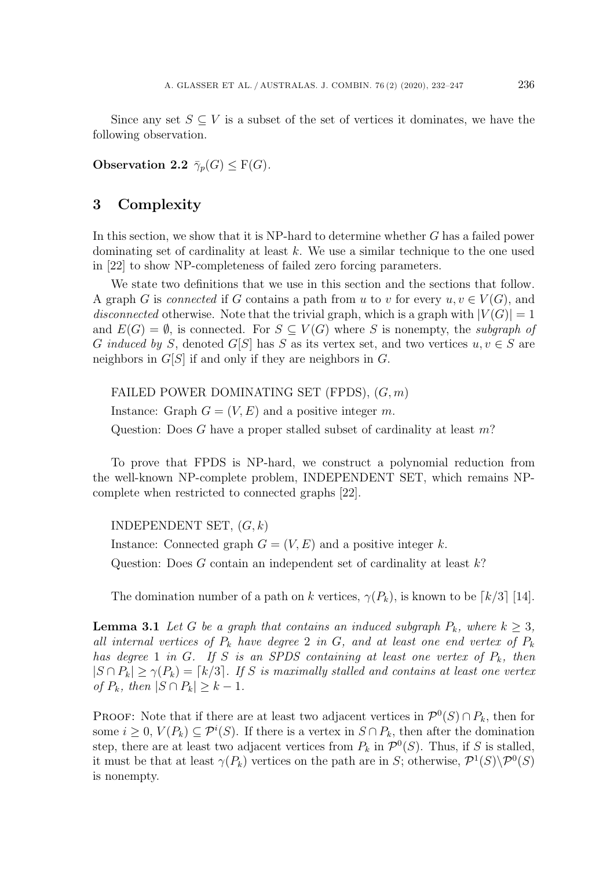Since any set  $S \subseteq V$  is a subset of the set of vertices it dominates, we have the following observation.

**Observation 2.2**  $\bar{\gamma}_p(G) \leq F(G)$ *.* 

# **3 Complexity**

In this section, we show that it is NP-hard to determine whether G has a failed power dominating set of cardinality at least k. We use a similar technique to the one used in [22] to show NP-completeness of failed zero forcing parameters.

We state two definitions that we use in this section and the sections that follow. A graph G is *connected* if G contains a path from u to v for every  $u, v \in V(G)$ , and *disconnected* otherwise. Note that the trivial graph, which is a graph with  $|V(G)| = 1$ and  $E(G) = \emptyset$ , is connected. For  $S \subseteq V(G)$  where S is nonempty, the *subgraph of* G *induced by* S, denoted G[S] has S as its vertex set, and two vertices  $u, v \in S$  are neighbors in  $G[S]$  if and only if they are neighbors in  $G$ .

FAILED POWER DOMINATING SET (FPDS),  $(G, m)$ Instance: Graph  $G = (V, E)$  and a positive integer m. Question: Does G have a proper stalled subset of cardinality at least m?

To prove that FPDS is NP-hard, we construct a polynomial reduction from the well-known NP-complete problem, INDEPENDENT SET, which remains NPcomplete when restricted to connected graphs [22].

INDEPENDENT SET,  $(G, k)$ 

Instance: Connected graph  $G = (V, E)$  and a positive integer k. Question: Does  $G$  contain an independent set of cardinality at least  $k$ ?

The domination number of a path on k vertices,  $\gamma(P_k)$ , is known to be  $\lceil k/3 \rceil$  [14].

**Lemma 3.1** *Let* G *be a graph that contains an induced subgraph*  $P_k$ *, where*  $k > 3$ *, all internal vertices of*  $P_k$  *have degree* 2 *in*  $G$ *, and at least one end vertex of*  $P_k$ *has degree* 1 *in* G. If S *is an SPDS containing at least one vertex of*  $P_k$ *, then*  $|S \cap P_k| \geq \gamma(P_k) = [k/3]$ . If S is maximally stalled and contains at least one vertex *of*  $P_k$ *, then*  $|S \cap P_k| \geq k - 1$ *.* 

PROOF: Note that if there are at least two adjacent vertices in  $\mathcal{P}^0(S) \cap P_k$ , then for some  $i \geq 0$ ,  $V(P_k) \subseteq \mathcal{P}^i(S)$ . If there is a vertex in  $S \cap P_k$ , then after the domination<br>step, there are at least two adjacent vertices from  $P_k$  in  $\mathcal{D}^0(S)$ . Thus, if S is stalled step, there are at least two adjacent vertices from  $P_k$  in  $\mathcal{P}^0(S)$ . Thus, if S is stalled, it must be that at least  $\gamma(P_k)$  vertices on the path are in S; otherwise,  $\mathcal{P}^1(S)\backslash \mathcal{P}^0(S)$ is nonempty.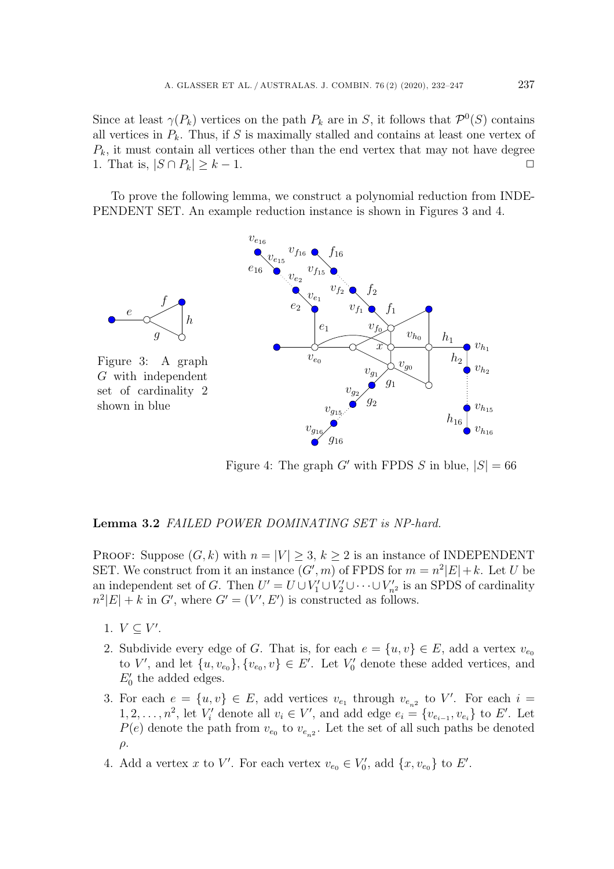Since at least  $\gamma(P_k)$  vertices on the path  $P_k$  are in S, it follows that  $\mathcal{P}^0(S)$  contains all vertices in  $P_k$ . Thus, if S is maximally stalled and contains at least one vertex of  $P_k$ , it must contain all vertices other than the end vertex that may not have degree 1. That is,  $|S \cap P_k| > k - 1$ . 1. That is,  $|S \cap P_k| \geq k - 1$ .

To prove the following lemma, we construct a polynomial reduction from INDE-PENDENT SET. An example reduction instance is shown in Figures 3 and 4.



Figure 4: The graph G' with FPDS S in blue,  $|S| = 66$ 

### **Lemma 3.2** *FAILED POWER DOMINATING SET is NP-hard.*

PROOF: Suppose  $(G, k)$  with  $n = |V| \geq 3, k \geq 2$  is an instance of INDEPENDENT SET. We construct from it an instance  $(G', m)$  of FPDS for  $m = n^2|E| + k$ . Let U be<br>an independent set of G. Then  $U' = U \cup V' \cup V' \cup \dots \cup V'$  is an SPDS of cardinality an independent set of G. Then  $U' = U \cup V'_1 \cup V'_2 \cup \cdots \cup V'_{n^2}$  is an SPDS of cardinality<br> $n^2|E| + k$  in  $G'$  where  $G' = (V' \, E')$  is constructed as follows  $n^2|E| + k$  in  $G'$ , where  $G' = (V', E')$  is constructed as follows.

- 1.  $V \subseteq V'$ .
- 2. Subdivide every edge of G. That is, for each  $e = \{u, v\} \in E$ , add a vertex  $v_{\epsilon_0}$ to V', and let  $\{u, v_{e_0}\}, \{v_{e_0}, v\} \in E'$ . Let  $V'_0$  denote these added vertices, and  $E'$  the added edges  $E'_0$  the added edges.
- 3. For each  $e = \{u, v\} \in E$ , add vertices  $v_{e_1}$  through  $v_{e_{n^2}}$  to V'. For each  $i =$ <br>1.2.  $n^2$  let V' denote all  $v_i \in V'$  and add edge  $e_i = \{v_i, v_i\}$  to  $E'$ . Let 1, 2,...,n<sup>2</sup>, let  $V'_i$  denote all  $v_i \in V'$ , and add edge  $e_i = \{v_{e_{i-1}}, v_{e_i}\}$  to E'. Let  $P(e)$  denote the path from  $v_i$  to  $v_j$ . Let the set of all such paths be denoted  $P(e)$  denote the path from  $v_{e_0}$  to  $v_{e_{n2}}$ . Let the set of all such paths be denoted  $\rho$ .
- 4. Add a vertex x to V'. For each vertex  $v_{e_0} \in V'_0$ , add  $\{x, v_{e_0}\}\)$  to E'.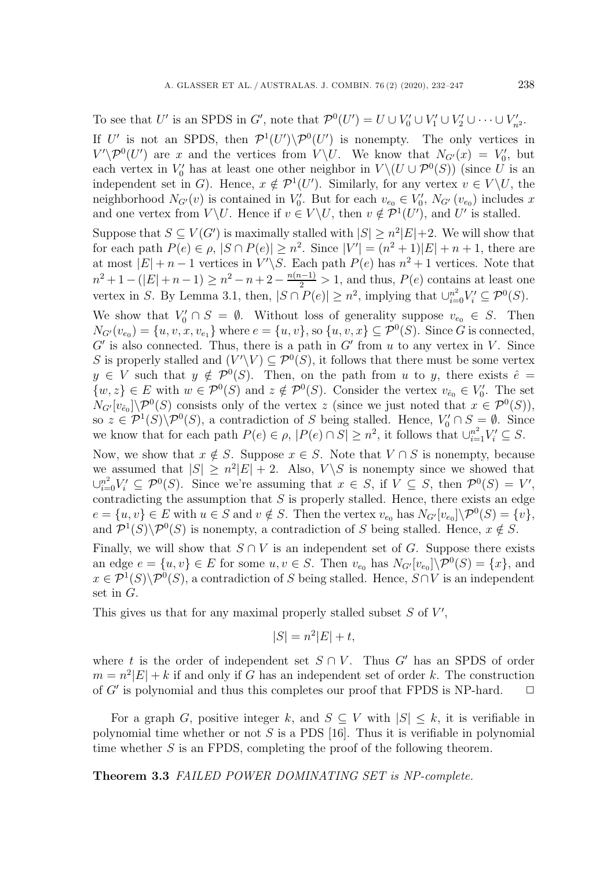To see that U' is an SPDS in G', note that  $\mathcal{P}^0(U') = U \cup V'_0 \cup V'_1 \cup V'_2 \cup \cdots \cup V'_{n^2}$ .

If U' is not an SPDS, then  $\mathcal{P}^1(U')\backslash \mathcal{P}^0(U')$  is nonempty. The only vertices in  $V'\backslash \mathcal{P}^0(U')$  are x and the vertices from  $V\backslash U$ . We know that  $N_{\alpha}(x) = V'$  but  $V' \backslash \mathcal{P}^0(U')$  are x and the vertices from  $V \backslash U$ . We know that  $N_{G'}(x) = V'_0$ , but<br>each vertex in V' has at least one other neighbor in  $V \backslash (U \cup \mathcal{D}^0(S))$  (since U is an each vertex in  $V'_0$  has at least one other neighbor in  $V \setminus (U \cup \mathcal{P}^0(S))$  (since U is an independent set in G). Hence  $x \notin \mathcal{P}^1(U')$ . Similarly for any vertex  $v \in V \setminus U$  the independent set in G). Hence,  $x \notin \mathcal{P}^1(U')$ . Similarly, for any vertex  $v \in V \backslash U$ , the neighborhood  $N_{\mathcal{Q}}(v)$  is contained in  $V'$ . But for each  $v \in V'$ ,  $N_{\mathcal{Q}}(v)$ , includes x neighborhood  $N_{G'}(v)$  is contained in  $V'_0$ . But for each  $v_{e_0} \in V'_0$ ,  $N_{G'}(v_{e_0})$  includes x<br>and one vertex from  $V \setminus U$ . Hence if  $v \in V \setminus U$  then  $v \notin \mathcal{D}^1(U')$  and  $U'$  is stalled and one vertex from  $V \backslash U$ . Hence if  $v \in V \backslash U$ , then  $v \notin \mathcal{P}^1(U')$ , and  $U'$  is stalled.

Suppose that  $S \subseteq V(G'$ <br>for each path  $P(e) \in e$ Suppose that  $S \subseteq V(G')$  is maximally stalled with  $|S| \geq n^2|E|+2$ . We will show that for each path  $P(e) \in \rho$ ,  $|S \cap P(e)| \geq n^2$ . Since  $|V'| = (n^2 + 1)|E| + n + 1$ , there are<br>at most  $|E| + n - 1$  vertices in  $V' \subseteq$  Each path  $P(e)$  has  $n^2 + 1$  vertices. Note that at most  $|E| + n - 1$  vertices in  $V'$ at most  $|E| + n - 1$  vertices in  $V' \setminus S$ . Each path  $P(e)$  has  $n^2 + 1$  vertices. Note that  $n^2+1-(|E|+n-1) \ge n^2-n+2-\frac{n(n-1)}{2} > 1$ , and thus,  $P(e)$  contains at least one<br>vertex in  $S$ , By Lamma 2.1, then  $|S \cap P(e)| > n^2$  implying that  $|x|^2$ ,  $V' \subset \mathcal{D}(S)$ vertex in S. By Lemma 3.1, then,  $|S \cap P(e)| \geq n^2$ , implying that  $\cup_{i=0}^{n^2} V'_i \subseteq \mathcal{P}^0(S)$ .

We show that  $V_0' \cap S = \emptyset$ . Without loss of generality suppose  $v_{e_0} \in S$ . Then  $N_{\alpha}(v_1) - \{y, y, x, y\}$  where  $e - \{y, y\}$  so  $\{y, y, x\} \subset \mathcal{D}^0(S)$ . Since G is connected  $\begin{array}{c}I^{\bullet}G'\ C' \end{array}$ i  $N_{G'}(v_{e_0}) = \{u, v, x, v_{e_1}\}\$  where  $e = \{u, v\}$ , so  $\{u, v, x\} \subseteq \mathcal{P}^0(S)$ . Since G is connected, G' is also connected. Thus, there is a path in G' from u to any vertex in V. Since  $S$  is properly stalled and  $(V' \ Y) \subset \mathcal{D}^0(S)$  it follows that there must be some vertex S is properly stalled and  $(V' \ Y) \subseteq \mathcal{P}^0(S)$ , it follows that there must be some vertex<br> $u \in V$  such that  $u \notin \mathcal{P}^0(S)$ . Then, on the path from u to u there exists  $\hat{e}$  $y \in V$  such that  $y \notin \mathcal{P}^0(S)$ . Then, on the path from u to y, there exists  $\hat{e} =$  $\{w, z\} \in E$  with  $w \in \mathcal{P}^0(S)$  and  $z \notin \mathcal{P}^0(S)$ . Consider the vertex  $v_{\hat{e}_0} \in V'_0$ . The set  $N_{\alpha}[v_{\alpha}] \setminus \mathcal{D}^0(S)$  consists only of the vertex z (since we just noted that  $x \in \mathcal{D}^0(S)$ )  $\mathcal{L}(\mathcal{C}_0 | \mathcal{C}_0) \setminus \mathcal{P}^{\perp}(S)$  consists only of the vertex z (since we just noted that  $x \in \mathcal{P}^{\perp}(S)$ ),<br>so  $z \in \mathcal{P}^{\perp}(S) \setminus \mathcal{P}^0(S)$ , a contradiction of S being stalled. Hence,  $V_0' \cap S = \emptyset$ . Since  $N_{G'}[v_{\hat{e}_0}]\backslash \mathcal{P}^0(S)$  consists only of the vertex z (since we just noted that  $x \in \mathcal{P}^0(S)$ ), we know that for each path  $P(e) \in \rho$ ,  $|P(e) \cap S| \geq n^2$ , it follows that  $\bigcup_{i=1}^{n^2} V_i' \subseteq S$ .

Now, we show that  $x \notin S$ . Suppose  $x \in S$ . Note that  $V \cap S$  is nonempty, because we assumed that  $|S| \geq n^2|E| + 2$ . Also,  $V \setminus S$  is nonempty since we showed that  $\bigcup_{i=0}^{n^2} V'_i \subseteq \mathcal{P}^0(S)$ . Since we're assuming that  $x \in S$ , if  $V \subseteq S$ , then  $\mathcal{P}^0(S) = V'$ , contradicting the assumption that S is properly stalled. Hence there exists an edge contradicting the assumption that  $S$  is properly stalled. Hence, there exists an edge  $e = \{u, v\} \in E$  with  $u \in S$  and  $v \notin S$ . Then the vertex  $v_{e_0}$  has  $N_{G'}[v_{e_0}]\backslash \mathcal{P}^0(S) = \{v\}$ ,<br>and  $\mathcal{P}^1(S) \backslash \mathcal{P}^0(S)$  is nonompty a contradiction of S boing stalled. Hence  $x \notin S$ and  $\mathcal{P}^1(S)\backslash \mathcal{P}^0(S)$  is nonempty, a contradiction of S being stalled. Hence,  $x \notin S$ .

Finally, we will show that  $S \cap V$  is an independent set of G. Suppose there exists an edge  $e = \{u, v\} \in E$  for some  $u, v \in S$ . Then  $v_{e_0}$  has  $N_{G'}[v_{e_0}]\setminus \mathcal{P}^0(S) = \{x\}$ , and  $x \in \mathcal{P}^1(S) \setminus \mathcal{P}^0(S)$  a contradiction of S being stalled. Hence  $S \cap V$  is an independent  $x \in \mathcal{P}^1(S) \backslash \mathcal{P}^0(S)$ , a contradiction of S being stalled. Hence,  $S \cap V$  is an independent set in G.

This gives us that for any maximal properly stalled subset  $S$  of  $V'$ ,

$$
|S| = n^2|E| + t,
$$

where t is the order of independent set  $S \cap V$ . Thus G' has an SPDS of order  $m = n^2|E| + k$  if and only if G has an independent set of order k. The construction<br>of G' is polynomial and thus this completes our proof that FPDS is NP-hard.  $\square$ of  $G'$  is polynomial and thus this completes our proof that FPDS is NP-hard.

For a graph G, positive integer k, and  $S \subseteq V$  with  $|S| \leq k$ , it is verifiable in polynomial time whether or not  $S$  is a PDS [16]. Thus it is verifiable in polynomial time whether S is an FPDS, completing the proof of the following theorem.

**Theorem 3.3** *FAILED POWER DOMINATING SET is NP-complete.*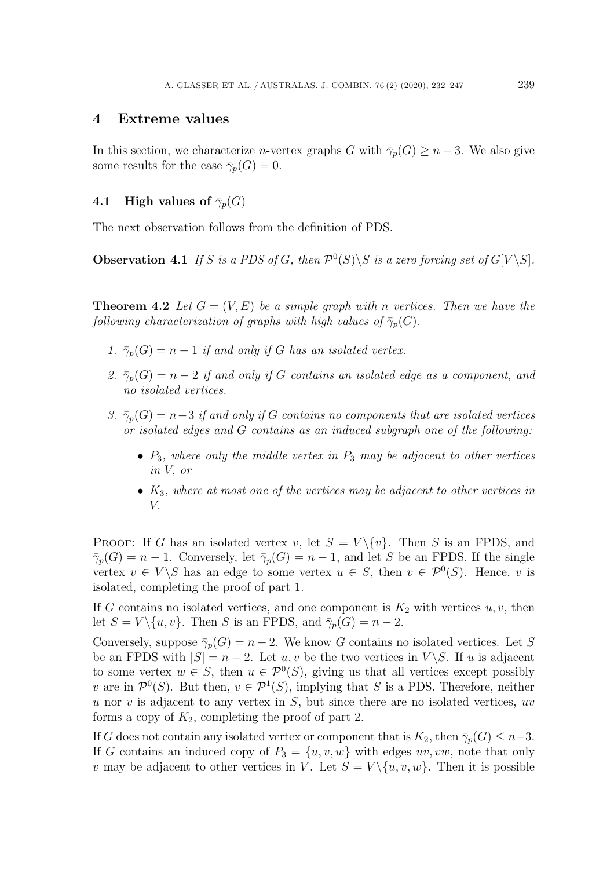## **4 Extreme values**

In this section, we characterize *n*-vertex graphs G with  $\bar{\gamma}_p(G) \geq n-3$ . We also give some results for the case  $\bar{\gamma}_p(G) = 0$ .

### **4.1 High values of**  $\bar{\gamma}_p(G)$

The next observation follows from the definition of PDS.

**Observation 4.1** *If* S *is a PDS of* G, then  $\mathcal{P}^0(S) \setminus S$  *is a zero forcing set of*  $G[V \setminus S]$ *.* 

**Theorem 4.2** Let  $G = (V, E)$  be a simple graph with n vertices. Then we have the *following characterization of graphs with high values of*  $\bar{\gamma}_p(G)$ *.* 

- *1.*  $\bar{\gamma}_p(G) = n 1$  *if and only if* G *has an isolated vertex.*
- 2.  $\bar{\gamma}_p(G) = n 2$  *if and only if* G *contains an isolated edge as a component, and no isolated vertices.*
- *3.*  $\bar{\gamma}_p(G) = n-3$  *if and only if* G *contains no components that are isolated vertices or isolated edges and* G *contains as an induced subgraph one of the following:*
	- <sup>P</sup><sup>3</sup>*, where only the middle vertex in* <sup>P</sup><sup>3</sup> *may be adjacent to other vertices in* V, *or*
	- K<sup>3</sup>*, where at most one of the vertices may be adjacent to other vertices in*

PROOF: If G has an isolated vertex v, let  $S = V \setminus \{v\}$ . Then S is an FPDS, and  $\bar{\gamma}_p(G) = n - 1$ . Conversely, let  $\bar{\gamma}_p(G) = n - 1$ , and let S be an FPDS. If the single vertex  $v \in V \backslash S$  has an edge to some vertex  $u \in S$ , then  $v \in \mathcal{P}^0(S)$ . Hence, v is isolated, completing the proof of part 1.

If G contains no isolated vertices, and one component is  $K_2$  with vertices  $u, v$ , then let  $S = V \setminus \{u, v\}$ . Then S is an FPDS, and  $\bar{\gamma}_p(G) = n - 2$ .

Conversely, suppose  $\bar{\gamma}_p(G) = n - 2$ . We know G contains no isolated vertices. Let S be an FPDS with  $|S| = n - 2$ . Let u, v be the two vertices in  $V \setminus S$ . If u is adjacent be an FPDS with  $|S| = n - 2$ . Let  $u, v$  be the two vertices in  $V \ S$ . If  $u$  is adjacent<br>to some vertex  $w \in S$ , then  $u \in \mathcal{D}^0(S)$ , giving us that all vertices except possibly to some vertex  $w \in S$ , then  $u \in \mathcal{P}^0(S)$ , giving us that all vertices except possibly <br>u are in  $\mathcal{P}^0(S)$ . But then  $u \in \mathcal{P}^1(S)$  implying that S is a PDS. Therefore, peither v are in  $\mathcal{P}^0(S)$ . But then,  $v \in \mathcal{P}^1(S)$ , implying that S is a PDS. Therefore, neither u nor v is adjacent to any vertex in  $S$ , but since there are no isolated vertices, uv forms a copy of  $K_2$ , completing the proof of part 2.

If G does not contain any isolated vertex or component that is  $K_2$ , then  $\bar{\gamma}_p(G) \leq n-3$ . If G contains an induced copy of  $P_3 = \{u, v, w\}$  with edges uv, vw, note that only v may be adjacent to other vertices in V. Let  $S = V \setminus \{u, v, w\}$ . Then it is possible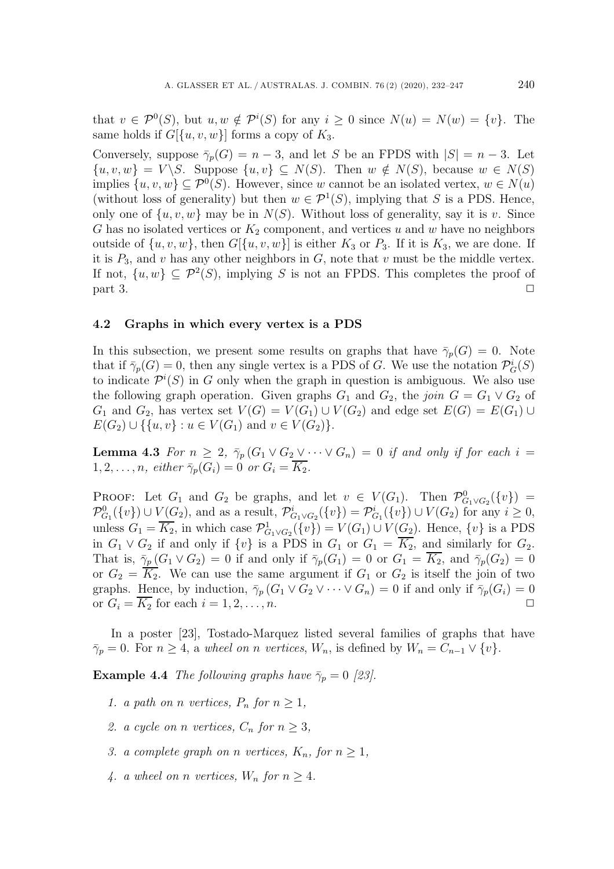that  $v \in \mathcal{P}^0(S)$ , but  $u, w \notin \mathcal{P}^i(S)$  for any  $i \geq 0$  since  $N(u) = N(w) = \{v\}$ . The same holds if  $G[{u, v, w}]$  forms a copy of  $K_3$ .

Conversely, suppose  $\bar{\gamma}_p(G) = n - 3$ , and let S be an FPDS with  $|S| = n - 3$ . Let  $\{u, v, w\} = V \backslash S$ . Suppose  $\{u, v\} \subseteq N(S)$ . Then  $w \notin N(S)$ , because  $w \in N(S)$ implies  $\{u, v, w\} \subseteq \mathcal{P}^0(S)$ . However, since w cannot be an isolated vertex,  $w \in N(u)$ (without loss of generality) but then  $w \in \mathcal{P}^1(S)$ , implying that S is a PDS. Hence, only one of  $\{u, v, w\}$  may be in  $N(S)$ . Without loss of generality, say it is v. Since G has no isolated vertices or  $K_2$  component, and vertices u and w have no neighbors outside of  $\{u, v, w\}$ , then  $G[\{u, v, w\}]$  is either  $K_3$  or  $P_3$ . If it is  $K_3$ , we are done. If it is  $P_3$ , and v has any other neighbors in G, note that v must be the middle vertex. If not,  $\{u, w\} \subseteq \mathcal{P}^2(S)$ , implying S is not an FPDS. This completes the proof of part 3.  $\Box$   $\Box$ 

#### **4.2 Graphs in which every vertex is a PDS**

In this subsection, we present some results on graphs that have  $\bar{\gamma}_p(G) = 0$ . Note that if  $\bar{\gamma}_p(G) = 0$ , then any single vertex is a PDS of G. We use the notation  $\mathcal{P}_G^i(S)$ <br>to indicate  $\mathcal{P}^{i}(S)$  in G only when the graph in question is ambiguous. We also use to indicate  $\mathcal{P}^i(S)$  in G only when the graph in question is ambiguous. We also use<br>the following graph operation. Given graphs  $G_2$  and  $G_2$  the join  $G = G_2 \vee G_2$  of the following graph operation. Given graphs  $G_1$  and  $G_2$ , the *join*  $G = G_1 \vee G_2$  of  $G_1$  and  $G_2$ , has vertex set  $V(G) = V(G_1) \cup V(G_2)$  and edge set  $E(G) = E(G_1) \cup$  $E(G_2) \cup \{ \{u, v\} : u \in V(G_1) \text{ and } v \in V(G_2) \}.$ 

**Lemma 4.3** *For*  $n \geq 2$ ,  $\bar{\gamma}_p(G_1 \vee G_2 \vee \cdots \vee G_n) = 0$  *if and only if for each*  $i = 1, 2, \ldots, p$  *either*  $\bar{\gamma}_p(G_i) = 0$  *or*  $G_i = \overline{K_2}$  $1, 2, \ldots, n$ *, either*  $\bar{\gamma}_p(G_i) = 0$  *or*  $G_i = K_2$ *.* 

PROOF: Let  $G_1$  and  $G_2$  be graphs, and let  $v \in V(G_1)$ . Then  $\mathcal{P}^0_{G_1 \vee G_2}(\{v\}) =$ <br> $\mathcal{P}^0$   $(f_n)$   $\cup$   $\cup$   $(G_2)$  and as a result  $\mathcal{P}^i$   $(f_n)$   $\cup$   $\mathcal{P}^i$   $(f_n)$   $\cup$   $\cup$   $(G_2)$  for any  $i > 0$  $\mathcal{P}_{G_1}^0(\lbrace v \rbrace) \cup V(G_2)$ , and as a result,  $\mathcal{P}_{G_1 \vee G_2}^i(\lbrace v \rbrace) = \mathcal{P}_{G_1}^i(\lbrace v \rbrace) \cup V(G_2)$  for any  $i \geq 0$ ,<br>where  $G = \overline{K}$  in which associated  $\mathcal{P}_{G_1}^1(\lbrace v \rbrace) = V(G) + V(G)$ . Hence, for is a PDS unless  $G_1 = \overline{K_2}$ , in which case  $\mathcal{P}^1_{G_1 \vee G_2}(\{v\}) = V(G_1) \cup V(G_2)$ . Hence,  $\{v\}$  is a PDS<br>in  $G \vee G$  if and only if  $\{v\}$  is a PDS in  $G$  or  $G = \overline{K}$  and similarly for  $G$ in  $G_1 \vee G_2$  if and only if  $\{v\}$  is a PDS in  $G_1$  or  $G_1 = \overline{K_2}$ , and similarly for  $G_2$ . That is,  $\bar{\gamma}_p(G_1 \vee G_2) = 0$  if and only if  $\bar{\gamma}_p(G_1) = 0$  or  $G_1 = \overline{K_2}$ , and  $\bar{\gamma}_p(G_2) = 0$ or  $G_2 = K_2$ . We can use the same argument if  $G_1$  or  $G_2$  is itself the join of two graphs. Hence, by induction,  $\overline{\gamma}_p(G_1 \vee G_2 \vee \cdots \vee G_n) = 0$  if and only if  $\overline{\gamma}_p(G_i) = 0$ <br>or  $G_i = \overline{K_2}$  for each  $i = 1, 2, ..., n$ . or  $G_i = \overline{K_2}$  for each  $i = 1, 2, \ldots, n$ .

In a poster [23], Tostado-Marquez listed several families of graphs that have  $\bar{\gamma}_p = 0$ . For  $n \geq 4$ , a *wheel on* n *vertices*,  $W_n$ , is defined by  $W_n = C_{n-1} \vee \{v\}$ .

**Example 4.4** *The following graphs have*  $\bar{\gamma}_p = 0$  [23].

- *1. a path on n vertices,*  $P_n$  *for*  $n \geq 1$ *,*
- 2. a cycle on *n* vertices,  $C_n$  for  $n \geq 3$ ,
- *3. a complete graph on n vertices,*  $K_n$ , for  $n \geq 1$ ,
- 4. a wheel on *n* vertices,  $W_n$  for  $n \geq 4$ .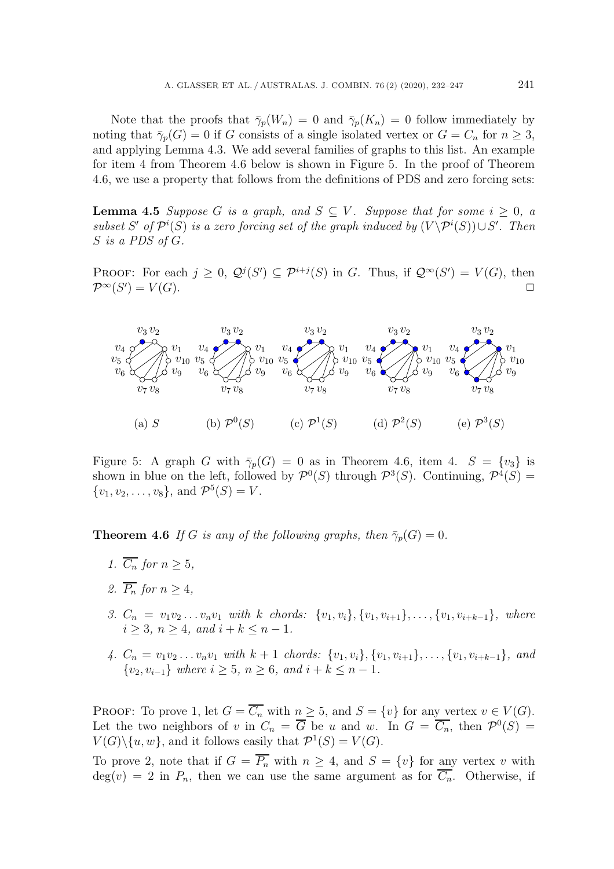Note that the proofs that  $\bar{\gamma}_p(W_n) = 0$  and  $\bar{\gamma}_p(K_n) = 0$  follow immediately by noting that  $\bar{\gamma}_p(G) = 0$  if G consists of a single isolated vertex or  $G = C_n$  for  $n \geq 3$ , and applying Lemma 4.3. We add several families of graphs to this list. An example for item 4 from Theorem 4.6 below is shown in Figure 5. In the proof of Theorem 4.6, we use a property that follows from the definitions of PDS and zero forcing sets:

**Lemma 4.5** *Suppose* G *is a graph, and*  $S \subseteq V$ *. Suppose that for some*  $i \geq 0$ , a *subset*  $S'$  *of*  $\mathcal{P}^i(S)$  *is a zero forcing set of the graph induced by*  $(V \backslash \mathcal{P}^i(S)) \cup S'$ *. Then*  $S$  *is a PDS of C* S *is a PDS of* G*.*

PROOF: For each  $j \geq 0$ ,  $\mathcal{Q}^j(S') \subseteq \mathcal{P}^{i+j}(S)$  in G. Thus, if  $\mathcal{Q}^{\infty}(S') = V(G)$ , then  $\Box$  $\mathcal{P}^{\infty}(S')=V(G).$  $) = V(G).$ 



Figure 5: A graph G with  $\bar{\gamma}_p(G) = 0$  as in Theorem 4.6, item 4.  $S = \{v_3\}$  is shown in blue on the left, followed by  $\mathcal{P}^0(S)$  through  $\mathcal{P}^3(S)$ . Continuing,  $\mathcal{P}^4(S)$  =  $\{v_1, v_2, \ldots, v_8\}$ , and  $\mathcal{P}^5(S) = V$ .

**Theorem 4.6** *If* G *is any of the following graphs, then*  $\bar{\gamma}_p(G)=0$ *.* 

- *1.*  $\overline{C_n}$  *for*  $n > 5$ *,*
- 2.  $\overline{P_n}$  *for*  $n > 4$ *,*
- *3.*  $C_n = v_1v_2...v_nv_1$  *with k chords:*  $\{v_1, v_i\}, \{v_1, v_{i+1}\}, \ldots, \{v_1, v_{i+k-1}\},$  *where*  $i > 3, n > 4, and i + k \leq n - 1.$
- *4.*  $C_n = v_1v_2 \ldots v_nv_1$  *with*  $k+1$  *chords:*  $\{v_1, v_i\}$ ,  $\{v_1, v_{i+1}\}$ , ...,  $\{v_1, v_{i+k-1}\}$ *, and* { $v_2, v_{i-1}$ } *where*  $i \ge 5$ *,*  $n \ge 6$ *, and*  $i + k \le n - 1$ *.*

PROOF: To prove 1, let  $G = \overline{C_n}$  with  $n \geq 5$ , and  $S = \{v\}$  for any vertex  $v \in V(G)$ . Let the two neighbors of v in  $C_n = \overline{G}$  be u and w. In  $G = \overline{C_n}$ , then  $\mathcal{P}^0(S) =$  $V(G)\backslash \{u, w\}$ , and it follows easily that  $\mathcal{P}^1(S) = V(G)$ .

To prove 2, note that if  $G = \overline{P_n}$  with  $n \geq 4$ , and  $S = \{v\}$  for any vertex v with  $deg(v) = 2$  in  $P_n$ , then we can use the same argument as for  $\overrightarrow{C_n}$ . Otherwise, if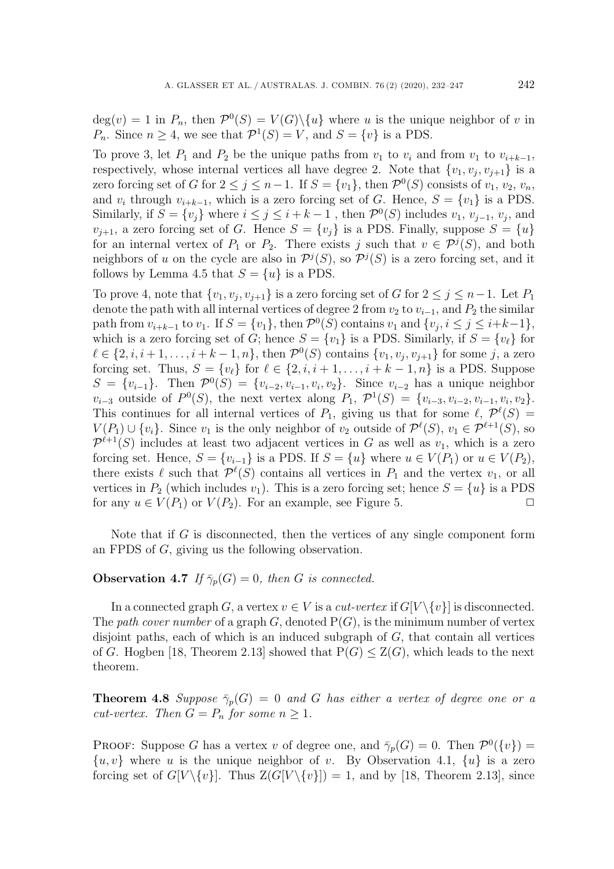$deg(v) = 1$  in  $P_n$ , then  $\mathcal{P}^0(S) = V(G) \setminus \{u\}$  where u is the unique neighbor of v in  $P_n$ . Since  $n \geq 4$ , we see that  $\mathcal{P}^1(S) = V$ , and  $S = \{v\}$  is a PDS.

To prove 3, let  $P_1$  and  $P_2$  be the unique paths from  $v_1$  to  $v_i$  and from  $v_1$  to  $v_{i+k-1}$ , respectively, whose internal vertices all have degree 2. Note that  $\{v_1, v_j, v_{j+1}\}$  is a zero forcing set of G for  $2 \leq j \leq n-1$ . If  $S = \{v_1\}$ , then  $\mathcal{P}^0(S)$  consists of  $v_1, v_2, v_n$ , and  $v_i$  through  $v_{i+k-1}$ , which is a zero forcing set of G. Hence,  $S = \{v_1\}$  is a PDS. Similarly, if  $S = \{v_j\}$  where  $i \leq j \leq i + k - 1$ , then  $\mathcal{P}^0(S)$  includes  $v_1, v_{j-1}, v_j$ , and  $v_{i+1}$ , a zero forcing set of G. Hence  $S = \{v_i\}$  is a PDS. Finally, suppose  $S = \{u\}$ for an internal vertex of  $P_1$  or  $P_2$ . There exists j such that  $v \in \mathcal{P}^j(S)$ , and both neighbors of u on the cycle are also in  $\mathcal{P}^{j}(S)$ , so  $\mathcal{P}^{j}(S)$  is a zero forcing set, and it follows by Lemma 4.5 that  $S = \{u\}$  is a PDS.

To prove 4, note that  $\{v_1, v_j, v_{j+1}\}$  is a zero forcing set of G for  $2 \leq j \leq n-1$ . Let  $P_1$ denote the path with all internal vertices of degree 2 from  $v_2$  to  $v_{i-1}$ , and  $P_2$  the similar path from  $v_{i+k-1}$  to  $v_1$ . If  $S = \{v_1\}$ , then  $\mathcal{P}^0(S)$  contains  $v_1$  and  $\{v_j, i \leq j \leq i+k-1\}$ , which is a zero forcing set of G; hence  $S = \{v_1\}$  is a PDS. Similarly, if  $S = \{v_\ell\}$  for  $\ell \in I_2$  i  $i+1$  if  $k-1$  in then  $\mathcal{D}^0(S)$  contains  $\{v_1, v_2, v_3\}$  for some i. a zero  $\ell \in \{2, i, i+1, \ldots, i+k-1, n\}$ , then  $\mathcal{P}^0(S)$  contains  $\{v_1, v_j, v_{j+1}\}$  for some j, a zero forcing set. Thus,  $S = \{v_\ell\}$  for  $\ell \in \{2, i, i+1, \ldots, i+k-1, n\}$  is a PDS. Suppose  $S = \{v_{\ell}, v_{\ell}\}$  Then  $\mathcal{D}^0(S) = \{v_{\ell}, v_{\ell}\}$  Since  $v_{\ell}$  a has a unique neighbor  $S = \{v_{i-1}\}.$  Then  $\mathcal{P}^0(S) = \{v_{i-2}, v_{i-1}, v_i, v_2\}.$  Since  $v_{i-2}$  has a unique neighbor  $v_{i-3}$  outside of  $P^0(S)$ , the next vertex along  $P_1, \mathcal{P}^1(S) = \{v_{i-3}, v_{i-2}, v_{i-1}, v_i, v_2\}.$ This continues for all internal vertices of  $P_1$ , giving us that for some  $\ell$ ,  $\mathcal{P}^{\ell}(S) = V(P_1) + I_{21}$ . Since  $v_1$  is the only neighbor of  $v_2$  outside of  $\mathcal{P}^{\ell}(S)$ ,  $v_1 \in \mathcal{P}^{\ell+1}(S)$ , so  $V(P_1) \cup \{v_i\}$ . Since  $v_1$  is the only neighbor of  $v_2$  outside of  $\mathcal{P}^{\ell}(S)$ ,  $v_1 \in \mathcal{P}^{\ell+1}(S)$ , so  $\mathcal{P}^{\ell+1}(S)$  includes at loss two adjacent vertices in  $G$  as well as  $v_1$ , which is a zero  $\mathcal{P}^{\ell+1}(S)$  includes at least two adjacent vertices in G as well as  $v_1$ , which is a zero<br>forcing set Hence  $S = \{v_1, v_2\}$  is a PDS. If  $S = \{v_1\}$  where  $u \in V(P_1)$  or  $u \in V(P_2)$ forcing set. Hence,  $S = \{v_{i-1}\}\$ is a PDS. If  $S = \{u\}$  where  $u \in V(P_1)$  or  $u \in V(P_2)$ , there exists  $\ell$  such that  $\mathcal{P}^{\ell}(S)$  contains all vertices in  $P_1$  and the vertex  $v_1$ , or all vertices in  $P_2$  (which includes  $v_1$ ). This is a zero forcing set: hence  $S = \ell v_1$  is a PDS vertices in  $P_2$  (which includes  $v_1$ ). This is a zero forcing set; hence  $S = \{u\}$  is a PDS<br>for any  $u \in V(P_1)$  or  $V(P_2)$ . For an example, see Figure 5 for any  $u \in V(P_1)$  or  $V(P_2)$ . For an example, see Figure 5.

Note that if  $G$  is disconnected, then the vertices of any single component form an FPDS of G, giving us the following observation.

#### **Observation 4.7** *If*  $\bar{\gamma}_p(G) = 0$ *, then G is connected.*

In a connected graph G, a vertex  $v \in V$  is a *cut-vertex* if  $G[V \setminus \{v\}]$  is disconnected. The *path cover number* of a graph  $G$ , denoted  $P(G)$ , is the minimum number of vertex disjoint paths, each of which is an induced subgraph of  $G$ , that contain all vertices of G. Hogben [18, Theorem 2.13] showed that  $P(G) \leq Z(G)$ , which leads to the next theorem.

**Theorem 4.8** *Suppose*  $\bar{\gamma}_p(G) = 0$  *and* G *has either a vertex of degree one or a cut-vertex. Then*  $G = P_n$  *for some*  $n \geq 1$ *.* 

PROOF: Suppose G has a vertex v of degree one, and  $\bar{\gamma}_p(G) = 0$ . Then  $\mathcal{P}^0(\{v\}) =$  $\{u, v\}$  where u is the unique neighbor of v. By Observation 4.1,  $\{u\}$  is a zero forcing set of  $G[V \setminus \{v\}]$ . Thus  $Z(G[V \setminus \{v\}]) = 1$ , and by [18, Theorem 2.13], since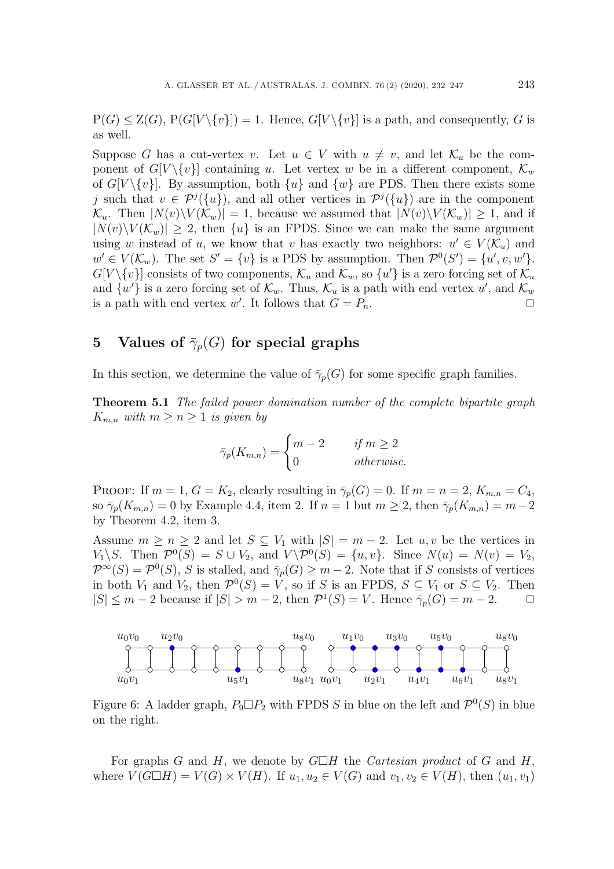$P(G) \leq Z(G), P(G[V \setminus \{v\}]) = 1.$  Hence,  $G[V \setminus \{v\}]$  is a path, and consequently, G is as well.

Suppose G has a cut-vertex v. Let  $u \in V$  with  $u \neq v$ , and let  $\mathcal{K}_u$  be the component of  $G[V\setminus\{v\}]$  containing u. Let vertex w be in a different component,  $\mathcal{K}_w$ of  $G[V\setminus\{v\}]$ . By assumption, both  $\{u\}$  and  $\{w\}$  are PDS. Then there exists some j such that  $v \in \mathcal{P}^{j}(\{u\})$ , and all other vertices in  $\mathcal{P}^{j}(\{u\})$  are in the component  $\mathcal{K}_u$ . Then  $|N(v)\setminus V(\mathcal{K}_w)|=1$ , because we assumed that  $|N(v)\setminus V(\mathcal{K}_w)|\geq 1$ , and if  $|N(v)\setminus V(\mathcal{K}_w)| \geq 2$ , then  $\{u\}$  is an FPDS. Since we can make the same argument using w instead of u, we know that v has exactly two neighbors:  $u' \in V(\mathcal{K}_u)$  and  $w' \in V(\mathcal{K}_w)$ . The set  $S' = \{v\}$  is a PDS by assumption. Then  $\mathcal{P}^0(S') = \{u', v, w'\}$ .<br> $G[V \setminus I_v]$  consists of two components  $K$  and  $K$  so  $\{u'\}$  is a zero forcing set of  $K$  $G[V \setminus \{v\}]$  consists of two components,  $\mathcal{K}_u$  and  $\mathcal{K}_w$ , so  $\{u'\}$  is a zero forcing set of  $\mathcal{K}_u$ <br>and  $\{w'\}$  is a zero forcing set of  $\mathcal{K}$ . Thus  $\mathcal{K}$  is a path with end vertex  $u'$  and  $\mathcal{K}$ and  $\{w'\}$  is a zero forcing set of  $\mathcal{K}_w$ . Thus,  $\mathcal{K}_u$  is a path with end vertex  $u'$ , and  $\mathcal{K}_w$ <br>is a path with end vertex  $w'$ . It follows that  $C-P$ is a path with end vertex w'. It follows that  $G = P_n$ .

# **5** Values of  $\bar{\gamma}_p(G)$  for special graphs

In this section, we determine the value of  $\bar{\gamma}_p(G)$  for some specific graph families.

**Theorem 5.1** *The failed power domination number of the complete bipartite graph*  $K_{m,n}$  *with*  $m \geq n \geq 1$  *is given by* 

$$
\bar{\gamma}_p(K_{m,n}) = \begin{cases} m-2 & \text{if } m \ge 2\\ 0 & \text{otherwise.} \end{cases}
$$

PROOF: If  $m = 1, G = K_2$ , clearly resulting in  $\bar{\gamma}_p(G) = 0$ . If  $m = n = 2, K_{m,n} = C_4$ , so  $\overline{\gamma}_p(K_{m,n}) = 0$  by Example 4.4, item 2. If  $n = 1$  but  $m \geq 2$ , then  $\overline{\gamma}_p(K_{m,n}) = m-2$ by Theorem 4.2, item 3.

Assume  $m \geq n \geq 2$  and let  $S \subseteq V_1$  with  $|S| = m - 2$ . Let  $u, v$  be the vertices in  $V_1 \backslash S$ . Then  $\mathcal{P}^0(S) = S \cup V_2$ , and  $V \backslash \mathcal{P}^0(S) = \{u, v\}$ . Since  $N(u) = N(v) = V_2$ ,  $\mathcal{P}^{\infty}(S) = \mathcal{P}^{0}(S)$ , S is stalled, and  $\bar{\gamma}_{p}(G) \geq m-2$ . Note that if S consists of vertices in both  $V_1$  and  $V_2$ , then  $\mathcal{P}^0(S) = V$ , so if S is an FPDS,  $S \subseteq V_1$  or  $S \subseteq V_2$ . Then  $|S| \le m - 2$  because if  $|S| > m - 2$ , then  $\mathcal{P}^1(S) = V$ . Hence  $\bar{\gamma}_n(G) = m - 2$ .  $|S| \leq m - 2$  because if  $|S| > m - 2$ , then  $\mathcal{P}^1(S) = V$ . Hence  $\overline{\gamma}_p(G) = m - 2$ .



Figure 6: A ladder graph,  $P_9 \Box P_2$  with FPDS S in blue on the left and  $\mathcal{P}^0(S)$  in blue on the right on the right.

For graphs G and H, we denote by  $G \Box H$  the *Cartesian product* of G and H,<br>are  $V(G \Box H) = V(G) \times V(H)$ . If  $u_1, u_2 \in V(G)$  and  $v_2, v_2 \in V(H)$ , then  $(u_1, v_2)$ . where  $V(G \Box H) = V(G) \times V(H)$ . If  $u_1, u_2 \in V(G)$  and  $v_1, v_2 \in V(H)$ , then  $(u_1, v_1)$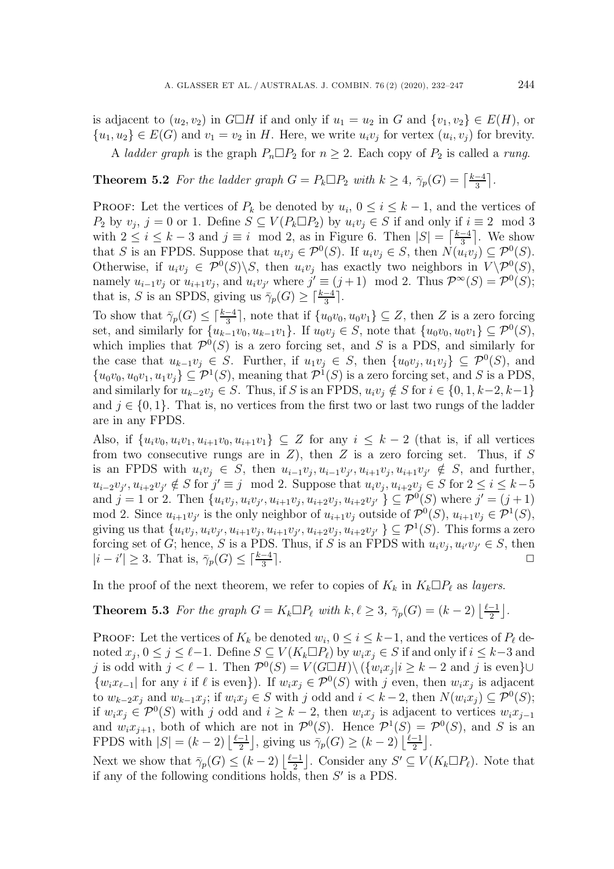is adjacent to  $(u_2, v_2)$  in  $G \square H$  if and only if  $u_1 = u_2$  in G and  $\{v_1, v_2\} \in E(H)$ , or  ${u_1, u_2} \in E(G)$  and  $v_1 = v_2$  in H. Here, we write  $u_i v_j$  for vertex  $(u_i, v_j)$  for brevity.

A *ladder graph* is the graph  $P_n \Box P_2$  for  $n \geq 2$ . Each copy of  $P_2$  is called a *rung*.

**Theorem 5.2** *For the ladder graph*  $G = P_k \square P_2$  *with*  $k \geq 4$ ,  $\bar{\gamma}_p(G) = \left\lceil \frac{k-4}{3} \right\rceil$ *.* 

PROOF: Let the vertices of  $P_k$  be denoted by  $u_i$ ,  $0 \le i \le k-1$ , and the vertices of  $P_2$  by  $v_j$ ,  $j = 0$  or 1. Define  $S \subseteq V(P_k \square P_2)$  by  $u_i v_j \in S$  if and only if  $i \equiv 2 \mod 3$ <br>with  $2 \le i \le k-3$  and  $i \equiv i \mod 2$  as in Figure 6. Then  $|S| = \lceil \frac{k-4}{3} \rceil$ . We show with  $2 \le i \le k-3$  and  $j \equiv i \mod 2$ , as in Figure 6. Then  $|S| = \left\lceil \frac{k-4}{3} \right\rceil$ . We show that S is an FPDS. Suppose that  $u_i v_j \in \mathcal{P}^0(S)$ . If  $u_i v_j \in S$ , then  $N(u_i v_j) \subseteq \mathcal{P}^0(S)$ . Otherwise, if  $u_i v_j \in \mathcal{P}^0(S) \backslash S$ , then  $u_i v_j$  has exactly two neighbors in  $V \backslash \mathcal{P}^0(S)$ , namely  $u_{i-1}v_j$  or  $u_{i+1}v_j$ , and  $u_iv_{j'}$  where  $j' \equiv (j+1) \mod 2$ . Thus  $\mathcal{P}^{\infty}(S) = \mathcal{P}^0(S)$ ;<br>that is S is an SPDS giving us  $\overline{\alpha}(G) > \lceil \frac{k-4}{2} \rceil$ that is, S is an SPDS, giving us  $\overline{\gamma}_p(G) \geq \lceil \frac{k-4}{3} \rceil$ .

To show that  $\bar{\gamma}_p(G) \leq \lceil \frac{k-4}{3} \rceil$ , note that if  $\{u_0v_0, u_0v_1\} \subseteq Z$ , then Z is a zero forcing<br>set and similarly for  $\{u_0, u_1, u_2\}$ . If  $u_0v_1 \in S$  note that  $\{u_0v_0, u_0v_1\} \subset \mathcal{D}^0(S)$ set, and similarly for  $\{u_{k-1}v_0, u_{k-1}v_1\}$ . If  $u_0v_j \in S$ , note that  $\{u_0v_0, u_0v_1\} \subseteq \mathcal{P}^0(S)$ , which implies that  $\mathcal{P}^0(S)$  is a zero forcing set, and S is a PDS, and similarly for the case that  $u_{k-1}v_i \in S$ . Further, if  $u_1v_i \in S$ , then  $\{u_0v_i, u_1v_i\} \subseteq \mathcal{P}^0(S)$ , and  ${u_0v_0, u_0v_1, u_1v_j} \subseteq \mathcal{P}^1(S)$ , meaning that  $\mathcal{P}^1(S)$  is a zero forcing set, and S is a PDS, and similarly for  $u_{k-2}v_i \in S$ . Thus, if S is an FPDS,  $u_iv_i \notin S$  for  $i \in \{0, 1, k-2, k-1\}$ and  $j \in \{0,1\}$ . That is, no vertices from the first two or last two rungs of the ladder are in any FPDS.

Also, if  $\{u_i v_0, u_i v_1, u_{i+1} v_0, u_{i+1} v_1\} \subseteq Z$  for any  $i \leq k-2$  (that is, if all vertices from two consecutive rungs are in  $Z$ ), then  $Z$  is a zero forcing set. Thus, if  $S$ is an FPDS with  $u_i v_j \in S$ , then  $u_{i-1} v_j, u_{i-1} v_j, u_{i+1} v_j, u_{i+1} v_{j'} \notin S$ , and further,<br> $u_{i-2} u_{i+1} u_{i+2} u_{i+1} \notin S$  for  $i' = i \mod 2$ . Suppose that  $u_i v_i, u_{i+2} v_i \in S$  for  $2 \le i \le k-5$  $u_{i-2}v_j, u_{i+2}v_{j'} \notin S$  for  $j' \equiv j \mod 2$ . Suppose that  $u_iv_j, u_{i+2}v_j \in S$  for  $2 \le i \le k-5$ <br>and  $i-1$  or  $2$ . Then  $\{u_iv_j, u_{i+2}v_j, u_{i+2}v_j, u_{i+2}v_j\} \subset \mathcal{D}^0(S)$  where  $i' = (i+1)$ and  $j = 1$  or 2. Then  $\{u_i v_j, u_i v_{j'}, u_{i+1} v_j, u_{i+2} v_j, u_{i+2} v_{j'}\} \subseteq \mathcal{P}^0(S)$  where  $j' = (j + 1)$ <br>mod 2. Since  $u_{i+2}v_j$  is the only perchange of  $u_{i+2}v_j$  outside of  $\mathcal{P}^0(S)$ ,  $u_{i+2}v_j \in \mathcal{P}^1(S)$ mod 2. Since  $u_{i+1}v_{j'}$  is the only neighbor of  $u_{i+1}v_j$  outside of  $\mathcal{P}^0(S)$ ,  $u_{i+1}v_j \in \mathcal{P}^1(S)$ ,<br>giving us that  $\{u_{i+1}v_{i+1}u_{i+1}u_{i+2}u_{i+1}u_{i+2}u_{i+2}u_{i+1}u_{i+2}u_{i+1}u_{i+1}u_{i+2}u_{i+1}u_{i+1}u_{i+2}u_{i$ giving us that  $\{u_i v_j, u_i v_{j'}, u_{i+1} v_j, u_{i+1} v_{j'}, u_{i+2} v_j, u_{i+2} v_{j'}\} \subseteq \mathcal{P}^1(S)$ . This forms a zero<br>forcing set of G: hance S is a PDS. Thus, if S is an EPDS with  $u_i v_i, u_i u_{i'} \in S$ , then forcing set of G; hence, S is a PDS. Thus, if S is an FPDS with  $u_i v_j, u_{i'} v_{j'} \in S$ , then  $|i - i'| > 3$ . That is  $\bar{\gamma}(G) < \lceil \frac{k-4}{3} \rceil$  $|i - i'| \ge 3$ . That is,  $\overline{\gamma}_p(G) \le \lceil \frac{k-4}{3} \rceil$  $\frac{-4}{3}$ .

In the proof of the next theorem, we refer to copies of  $K_k$  in  $K_k \Box P_\ell$ as *layers*.

**Theorem 5.3** *For the graph*  $G = K_k \square P_\ell$  *with*  $k, \ell \geq 3, \bar{\gamma}_p(G) = (k-2) \lfloor \frac{\ell-1}{2} \rfloor$ *.* 

PROOF: Let the vertices of  $K_k$  be denoted  $w_i$ ,  $0 \le i \le k-1$ , and the vertices of  $P_\ell$  denoted  $x_i$ ,  $0 \le i \le \ell-1$ , Define  $S \subset V(K, \square P_\ell)$  by  $w, x_i \in S$  if and only if  $i \le k-3$  and noted  $x_j, 0 \le j \le \ell - 1$ . Define  $S \subseteq V(K_k \square P_\ell)$  by  $w_i x_j \in S$  if and only if  $i \le k-3$  and i is over left is order with  $j \le \ell - 1$ . Then  $\mathcal{D}^0(S) = V(G \square H) \setminus (f_{j_1}, f_{j_2}) \ge k - 2$  and i is even left j is odd with  $j < \ell - 1$ . Then  $\mathcal{P}^0(S) = V(G \Box H) \setminus (\{w_i x_j | i \ge k - 2 \text{ and } j \text{ is even}\} \cup$ <br> $\{w_i x_{i+1} | \text{ for any } i \text{ if } \ell \text{ is even}\}$  If  $w_i x_i \in \mathcal{D}^0(S)$  with i even then  $w_i x_i$  is adjacent  $\{w_ix_{\ell-1}\}\$ for any *i* if  $\ell$  is even $\}$ ). If  $w_ix_j \in \mathcal{P}^0(S)$  with j even, then  $w_ix_j$  is adjacent<br>to  $w_{\ell-1}$  and  $w_{\ell-1}$  if  $w_ix_j \in S$  with *i* odd and  $i < k-2$  then  $N(w_ix_j) \subset \mathcal{D}^0(S)$ . to  $w_{k-2}x_j$  and  $w_{k-1}x_j$ ; if  $w_ix_j \in S$  with j odd and  $i < k-2$ , then  $N(w_ix_j) \subseteq \mathcal{P}^0(S)$ ; if  $w_i x_j \in \mathcal{P}^0(S)$  with j odd and  $i \geq k-2$ , then  $w_i x_j$  is adjacent to vertices  $w_i x_{j-1}$ and  $w_i x_{i+1}$ , both of which are not in  $\mathcal{P}^0(S)$ . Hence  $\mathcal{P}^1(S) = \mathcal{P}^0(S)$ , and S is an FPDS with  $|S| = (k-2) \left\lfloor \frac{\ell-1}{2} \right\rfloor$ , giving us  $\overline{\gamma}_p(G) \ge (k-2) \left\lfloor \frac{\ell-1}{2} \right\rfloor$ .

Next we show that  $\overline{\gamma}_p(G) \le (k-2) \left\lfloor \frac{\ell-1}{2} \right\rfloor$ . Consider any  $S' \subseteq V(K_k \square P_\ell)$ <br>if any of the following conditions holds then  $S'$  is a PDS ). Note that if any of the following conditions holds, then  $S'$  is a PDS.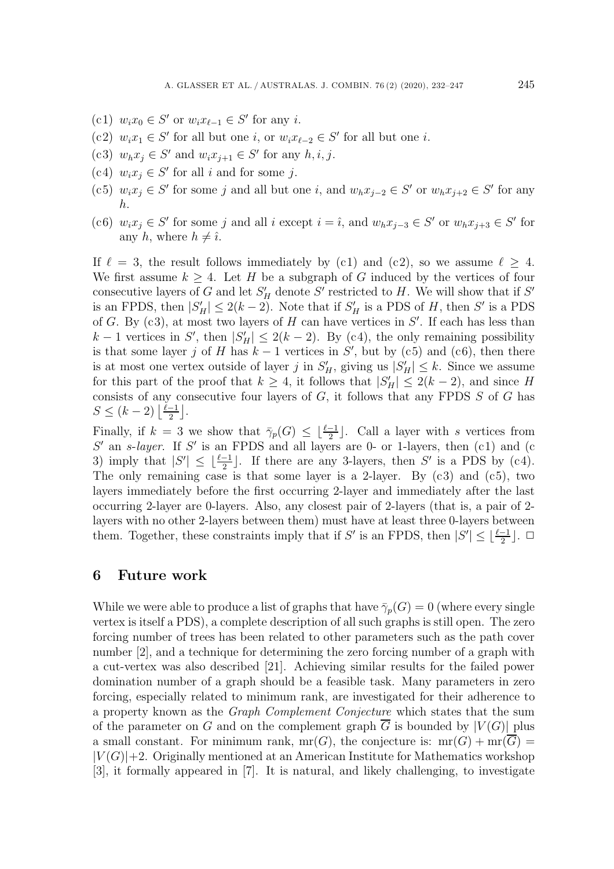- (c1)  $w_i x_0 \in S'$  or  $w_i x_{\ell-1} \in S'$  for any *i*.
- (c2)  $w_i x_1 \in S'$  for all but one *i*, or  $w_i x_{\ell-2} \in S'$  for all but one *i*.<br>  $\begin{bmatrix} \epsilon & 0 \end{bmatrix}$  with  $\epsilon \in S'$  for all  $w_i x_{\ell-2} \in S'$  for all  $i \neq j$ .
- (c3)  $w_h x_j \in S'$  and  $w_i x_{j+1} \in S'$  for any  $h, i, j$ .
- (c4)  $w_i x_j \in S'$  for all i and for some j.
- (c5)  $w_ix_j \in S'$  for some j and all but one i, and  $w_hx_{j-2} \in S'$  or  $w_hx_{j+2} \in S'$  for any h.
- (c6)  $w_ix_j \in S'$  for some j and all i except  $i = \hat{i}$ , and  $w_hx_{j-3} \in S'$  or  $w_hx_{j+3} \in S'$  for any h, where  $h \neq \hat{\imath}$ .

If  $\ell = 3$ , the result follows immediately by (c1) and (c2), so we assume  $\ell \geq 4$ . We first assume  $k \geq 4$ . Let H be a subgraph of G induced by the vertices of four consecutive layers of G and let  $S_H$  denote S' restricted to H. We will show that if S'<br>is an EPDS, then  $|S'|\leq 2(k-2)$ . Note that if S' is a PDS of H, then S' is a PDS is an FPDS, then  $|S'_H| \leq 2(k-2)$ . Note that if  $S'_H$  is a PDS of H, then S' is a PDS of G. By  $(c, 3)$ , at most two layers of H can have vertices in S'. If each has less than of G. By (c3), at most two layers of H can have vertices in S'. If each has less than  $k = 1$  vertices in S' then  $|S'|\leq 2(k-2)$ . By (c4), the only remaining possibility  $k-1$  vertices in S', then  $|S'_H| \leq 2(k-2)$ . By (c4), the only remaining possibility<br>is that some layer i of H has  $k-1$  vertices in S', but by (c5) and (c6), then there is that some layer j of H has  $k-1$  vertices in  $S'$ , but by (c5) and (c6), then there is at most one vertex outside of layer i in  $S'$  giving us  $|S'| \le k$ . Since we assume is at most one vertex outside of layer j in  $S'_H$ , giving us  $|S'_H| \leq k$ . Since we assume<br>for this part of the proof that  $k > 4$  it follows that  $|S'| \leq 2(k-2)$  and since H for this part of the proof that  $k \geq 4$ , it follows that  $|S'_H| \leq 2(k-2)$ , and since H<br>consists of any consecutive four layers of G it follows that any EPDS S of G has consists of any consecutive four layers of  $G$ , it follows that any FPDS  $S$  of  $G$  has  $S \leq (k-2) \left\lfloor \frac{\ell-1}{2} \right\rfloor.$ 

Finally, if  $k = 3$  we show that  $\overline{\gamma}_p(G) \leq \lfloor \frac{\ell-1}{2} \rfloor$ . Call a layer with s vertices from  $S'$  an e-layer. If  $S'$  is an EPDS and all layers are 0- or 1-layers, then (c1) and (c  $S'$  an s-*layer*. If S' is an FPDS and all layers are 0- or 1-layers, then (c1) and (c 3) imply that  $|S'| \leq \lfloor \frac{\ell-1}{2} \rfloor$ . If there are any 3-layers, then S' is a PDS by (c4).<br>The only remaining case is that some layer is a 2-layer. By (c3) and (c5) two The only remaining case is that some layer is a 2-layer. By  $(c3)$  and  $(c5)$ , two layers immediately before the first occurring 2-layer and immediately after the last occurring 2-layer are 0-layers. Also, any closest pair of 2-layers (that is, a pair of 2 layers with no other 2-layers between them) must have at least three 0-layers between them. Together, these constraints imply that if S' is an FPDS, then  $|S'| \leq \lfloor \frac{\ell-1}{2} \rfloor$ .  $\Box$ 

#### **6 Future work**

While we were able to produce a list of graphs that have  $\bar{\gamma}_p(G) = 0$  (where every single vertex is itself a PDS), a complete description of all such graphs is still open. The zero forcing number of trees has been related to other parameters such as the path cover number [2], and a technique for determining the zero forcing number of a graph with a cut-vertex was also described [21]. Achieving similar results for the failed power domination number of a graph should be a feasible task. Many parameters in zero forcing, especially related to minimum rank, are investigated for their adherence to a property known as the *Graph Complement Conjecture* which states that the sum of the parameter on G and on the complement graph  $\overline{G}$  is bounded by  $|V(G)|$  plus a small constant. For minimum rank,  $mr(G)$ , the conjecture is:  $mr(G) + mr(G)$  $|V(G)|+2$ . Originally mentioned at an American Institute for Mathematics workshop [3], it formally appeared in [7]. It is natural, and likely challenging, to investigate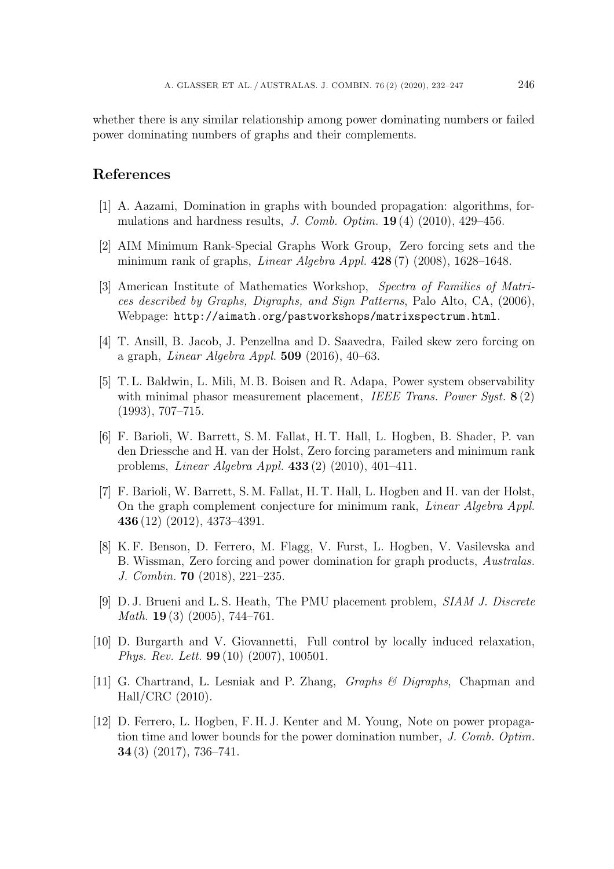whether there is any similar relationship among power dominating numbers or failed power dominating numbers of graphs and their complements.

# **References**

- [1] A. Aazami, Domination in graphs with bounded propagation: algorithms, formulations and hardness results, *J. Comb. Optim.* **19** (4) (2010), 429–456.
- [2] AIM Minimum Rank-Special Graphs Work Group, Zero forcing sets and the minimum rank of graphs, *Linear Algebra Appl.* **428** (7) (2008), 1628–1648.
- [3] American Institute of Mathematics Workshop, *Spectra of Families of Matrices described by Graphs, Digraphs, and Sign Patterns*, Palo Alto, CA, (2006), Webpage: http://aimath.org/pastworkshops/matrixspectrum.html.
- [4] T. Ansill, B. Jacob, J. Penzellna and D. Saavedra, Failed skew zero forcing on a graph, *Linear Algebra Appl.* **509** (2016), 40–63.
- [5] T. L. Baldwin, L. Mili, M. B. Boisen and R. Adapa, Power system observability with minimal phasor measurement placement, *IEEE Trans. Power Syst.* **8** (2) (1993), 707–715.
- [6] F. Barioli, W. Barrett, S. M. Fallat, H. T. Hall, L. Hogben, B. Shader, P. van den Driessche and H. van der Holst, Zero forcing parameters and minimum rank problems, *Linear Algebra Appl.* **433** (2) (2010), 401–411.
- [7] F. Barioli, W. Barrett, S. M. Fallat, H. T. Hall, L. Hogben and H. van der Holst, On the graph complement conjecture for minimum rank, *Linear Algebra Appl.* **436** (12) (2012), 4373–4391.
- [8] K. F. Benson, D. Ferrero, M. Flagg, V. Furst, L. Hogben, V. Vasilevska and B. Wissman, Zero forcing and power domination for graph products, *Australas. J. Combin.* **70** (2018), 221–235.
- [9] D. J. Brueni and L. S. Heath, The PMU placement problem, *SIAM J. Discrete Math.* **19** (3) (2005), 744–761.
- [10] D. Burgarth and V. Giovannetti, Full control by locally induced relaxation, *Phys. Rev. Lett.* **99** (10) (2007), 100501.
- [11] G. Chartrand, L. Lesniak and P. Zhang, *Graphs & Digraphs*, Chapman and Hall/CRC (2010).
- [12] D. Ferrero, L. Hogben, F. H. J. Kenter and M. Young, Note on power propagation time and lower bounds for the power domination number, *J. Comb. Optim.* **34** (3) (2017), 736–741.